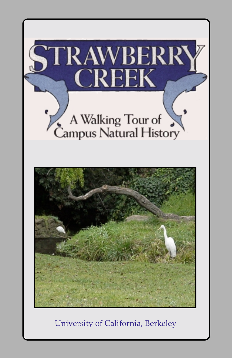

University of California, Berkeley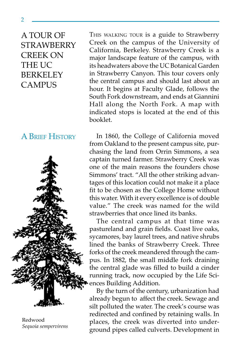## A TOUR OF STRAWBERRY CREEK ON THE UC BERKELEY **CAMPUS**

#### A BRIEF HISTORY



Redwood *Sequoia sempervirens*

THIS WALKING TOUR is a guide to Strawberry Creek on the campus of the University of California, Berkeley. Strawberry Creek is a major landscape feature of the campus, with its headwaters above the UC Botanical Garden in Strawberry Canyon. This tour covers only the central campus and should last about an hour. It begins at Faculty Glade, follows the South Fork downstream, and ends at Giannini Hall along the North Fork. A map with indicated stops is located at the end of this booklet.

In 1860, the College of California moved from Oakland to the present campus site, purchasing the land from Orrin Simmons, a sea captain turned farmer. Strawberry Creek was one of the main reasons the founders chose Simmons' tract. "All the other striking advantages of this location could not make it a place fit to be chosen as the College Home without this water. With it every excellence is of double value." The creek was named for the wild strawberries that once lined its banks.

The central campus at that time was pastureland and grain fields. Coast live oaks, sycamores, bay laurel trees, and native shrubs lined the banks of Strawberry Creek. Three forks of the creek meandered through the campus. In 1882, the small middle fork draining the central glade was filled to build a cinder running track, now occupied by the Life Sciences Building Addition.

By the turn of the century, urbanization had already begun to affect the creek. Sewage and silt polluted the water. The creek's course was redirected and confined by retaining walls. In places, the creek was diverted into underground pipes called culverts. Development in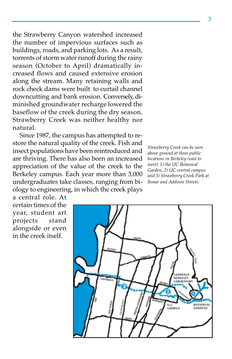the Strawberry Canyon watershed increased the number of impervious surfaces such as buildings, roads, and parking lots. As a result, torrents of storm water runoff during the rainy season (October to April) dramatically increased flows and caused extensive erosion along the stream. Many retaining walls and rock check dams were built to curtail channel downcutting and bank erosion. Conversely, diminished groundwater recharge lowered the baseflow of the creek during the dry season. Strawberry Creek was neither healthy nor natural.

Since 1987, the campus has attempted to restore the natural quality of the creek. Fish and insect populations have been reintroduced and are thriving. There has also been an increased appreciation of the value of the creek to the Berkeley campus. Each year more than 3,000 undergraduates take classes, ranging from biology to engineering, in which the creek plays

*Strawberry Creek can be seen above ground at three public locations in Berkeley (east to west): 1) the UC Botanical Garden, 2) UC central campus and 3) Strawberry Creek Park at Bonar and Addison Streets.*

a central role. At certain times of the year, student art projects stand alongside or even in the creek itself.

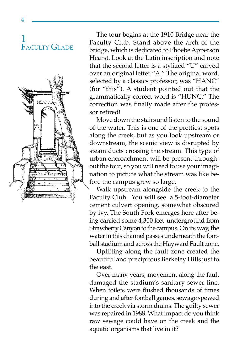# 1 FACULTY GLADE



The tour begins at the 1910 Bridge near the Faculty Club. Stand above the arch of the bridge, which is dedicated to Phoebe Apperson Hearst. Look at the Latin inscription and note that the second letter is a stylized "U" carved over an original letter "A." The original word, selected by a classics professor, was "HANC" (for "this"). A student pointed out that the grammatically correct word is "HUNC." The correction was finally made after the professor retired!

Move down the stairs and listen to the sound of the water. This is one of the prettiest spots along the creek, but as you look upstream or downstream, the scenic view is disrupted by steam ducts crossing the stream. This type of urban encroachment will be present throughout the tour, so you will need to use your imagination to picture what the stream was like before the campus grew so large.

Walk upstream alongside the creek to the Faculty Club. You will see a 5-foot-diameter cement culvert opening, somewhat obscured by ivy. The South Fork emerges here after being carried some 4,300 feet underground from Strawberry Canyon to the campus. On its way, the water in this channel passes underneath the football stadium and across the Hayward Fault zone.

Uplifting along the fault zone created the beautiful and precipitous Berkeley Hills just to the east.

Over many years, movement along the fault damaged the stadium's sanitary sewer line. When toilets were flushed thousands of times during and after football games, sewage spewed into the creek via storm drains. The guilty sewer was repaired in 1988. What impact do you think raw sewage could have on the creek and the aquatic organisms that live in it?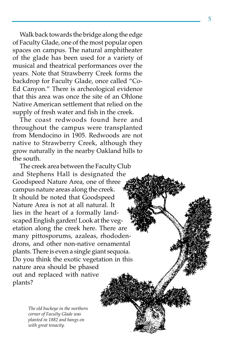Walk back towards the bridge along the edge of Faculty Glade, one of the most popular open spaces on campus. The natural amphitheater of the glade has been used for a variety of musical and theatrical performances over the years. Note that Strawberry Creek forms the backdrop for Faculty Glade, once called "Co-Ed Canyon." There is archeological evidence that this area was once the site of an Ohlone Native American settlement that relied on the supply of fresh water and fish in the creek.

The coast redwoods found here and throughout the campus were transplanted from Mendocino in 1905. Redwoods are not native to Strawberry Creek, although they grow naturally in the nearby Oakland hills to the south.

The creek area between the Faculty Club and Stephens Hall is designated the Goodspeed Nature Area, one of three campus nature areas along the creek. It should be noted that Goodspeed Nature Area is not at all natural. It lies in the heart of a formally landscaped English garden! Look at the vegetation along the creek here. There are many pittosporums, azaleas, rhododendrons, and other non-native ornamental plants. There is even a single giant sequoia. Do you think the exotic vegetation in this nature area should be phased out and replaced with native plants?

> *The old buckeye in the northern corner of Faculty Glade was planted in 1882 and hangs on with great tenacity.*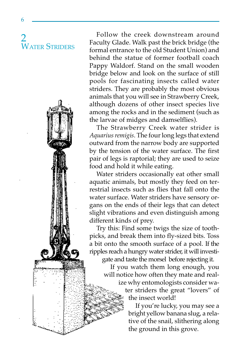## <u>2</u> WATER STRIDERS



Follow the creek downstream around Faculty Glade. Walk past the brick bridge (the formal entrance to the old Student Union) and behind the statue of former football coach Pappy Waldorf. Stand on the small wooden bridge below and look on the surface of still pools for fascinating insects called water striders. They are probably the most obvious animals that you will see in Strawberry Creek, although dozens of other insect species live among the rocks and in the sediment (such as the larvae of midges and damselflies).

The Strawberry Creek water strider is *Aquarius remigis*. The four long legs that extend outward from the narrow body are supported by the tension of the water surface. The first pair of legs is raptorial; they are used to seize food and hold it while eating.

Water striders occasionally eat other small aquatic animals, but mostly they feed on terrestrial insects such as flies that fall onto the water surface. Water striders have sensory organs on the ends of their legs that can detect slight vibrations and even distinguish among different kinds of prey.

Try this: Find some twigs the size of toothpicks, and break them into fly-sized bits. Toss a bit onto the smooth surface of a pool. If the ripples reach a hungry water strider, it will investi-

gate and taste the morsel before rejecting it.

If you watch them long enough, you will notice how often they mate and real-

ize why entomologists consider water striders the great "lovers" of the insect world!

If you're lucky, you may see a bright yellow banana slug, a relative of the snail, slithering along the ground in this grove.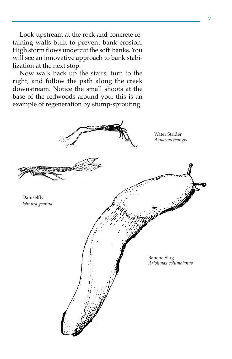Look upstream at the rock and concrete retaining walls built to prevent bank erosion. High storm flows undercut the soft banks. You will see an innovative approach to bank stabilization at the next stop.

Now walk back up the stairs, turn to the right, and follow the path along the creek downstream. Notice the small shoots at the base of the redwoods around you; this is an example of regeneration by stump-sprouting.

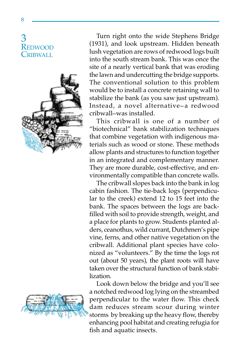



Turn right onto the wide Stephens Bridge (1931), and look upstream. Hidden beneath lush vegetation are rows of redwood logs built into the south stream bank. This was once the site of a nearly vertical bank that was eroding the lawn and undercutting the bridge supports. The conventional solution to this problem would be to install a concrete retaining wall to stabilize the bank (as you saw just upstream). Instead, a novel alternative-a redwood cribwall—was installed.

This cribwall is one of a number of "biotechnical" bank stabilization techniques that combine vegetation with indigenous materials such as wood or stone. These methods allow plants and structures to function together in an integrated and complementary manner. They are more durable, cost-effective, and environmentally compatible than concrete walls.

The cribwall slopes back into the bank in log cabin fashion. The tie-back logs (perpendicular to the creek) extend 12 to 15 feet into the bank. The spaces between the logs are backfilled with soil to provide strength, weight, and a place for plants to grow. Students planted alders, ceanothus, wild currant, Dutchmen's pipe vine, ferns, and other native vegetation on the cribwall. Additional plant species have colonized as "volunteers." By the time the logs rot out (about 50 years), the plant roots will have taken over the structural function of bank stabilization.

Look down below the bridge and you'll see a notched redwood log lying on the streambed perpendicular to the water flow. This check dam reduces stream scour during winter storms by breaking up the heavy flow, thereby enhancing pool habitat and creating refugia for fish and aquatic insects.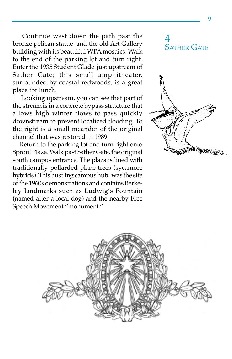Continue west down the path past the bronze pelican statue and the old Art Gallery building with its beautiful WPA mosaics. Walk to the end of the parking lot and turn right. Enter the 1935 Student Glade just upstream of Sather Gate; this small amphitheater, surrounded by coastal redwoods, is a great place for lunch.

 Looking upstream, you can see that part of the stream is in a concrete bypass structure that allows high winter flows to pass quickly downstream to prevent localized flooding. To the right is a small meander of the original channel that was restored in 1989.

Return to the parking lot and turn right onto Sproul Plaza. Walk past Sather Gate, the original south campus entrance. The plaza is lined with traditionally pollarded plane-trees (sycamore hybrids). This bustling campus hub was the site of the 1960s demonstrations and contains Berkeley landmarks such as Ludwig's Fountain (named after a local dog) and the nearby Free Speech Movement "monument."



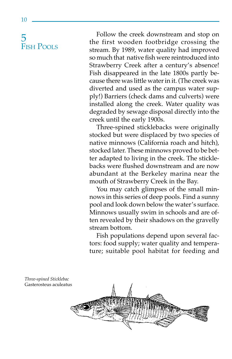5 FISH POOLS

Follow the creek downstream and stop on the first wooden footbridge crossing the stream. By 1989, water quality had improved so much that native fish were reintroduced into Strawberry Creek after a century's absence! Fish disappeared in the late 1800s partly because there was little water in it. (The creek was diverted and used as the campus water supply!) Barriers (check dams and culverts) were installed along the creek. Water quality was degraded by sewage disposal directly into the creek until the early 1900s.

Three-spined sticklebacks were originally stocked but were displaced by two species of native minnows (California roach and hitch), stocked later. These minnows proved to be better adapted to living in the creek. The sticklebacks were flushed downstream and are now abundant at the Berkeley marina near the mouth of Strawberry Creek in the Bay.

You may catch glimpses of the small minnows in this series of deep pools. Find a sunny pool and look down below the water's surface. Minnows usually swim in schools and are often revealed by their shadows on the gravelly stream bottom.

Fish populations depend upon several factors: food supply; water quality and temperature; suitable pool habitat for feeding and



*Three-spined Stickleback* Gasterosteus aculeatus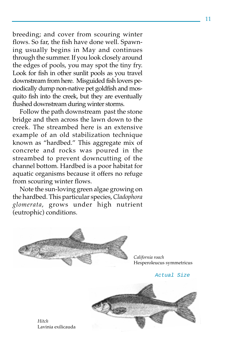breeding; and cover from scouring winter flows. So far, the fish have done well. Spawning usually begins in May and continues through the summer. If you look closely around the edges of pools, you may spot the tiny fry. Look for fish in other sunlit pools as you travel downstream from here. Misguided fish lovers periodically dump non-native pet goldfish and mosquito fish into the creek, but they are eventually flushed downstream during winter storms.

Follow the path downstream past the stone bridge and then across the lawn down to the creek. The streambed here is an extensive example of an old stabilization technique known as "hardbed." This aggregate mix of concrete and rocks was poured in the streambed to prevent downcutting of the channel bottom. Hardbed is a poor habitat for aquatic organisms because it offers no refuge from scouring winter flows.

Note the sun-loving green algae growing on the hardbed. This particular species, *Cladophora glomerata*, grows under high nutrient (eutrophic) conditions.



*California roach* Hesperoleucus symmetricus

Actual Size



*Hitch* Lavinia exilicauda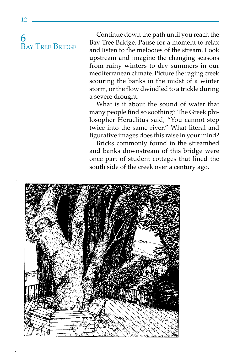6 **BAY TREE BRIDGE** 

Continue down the path until you reach the Bay Tree Bridge. Pause for a moment to relax and listen to the melodies of the stream. Look upstream and imagine the changing seasons from rainy winters to dry summers in our mediterranean climate. Picture the raging creek scouring the banks in the midst of a winter storm, or the flow dwindled to a trickle during a severe drought.

What is it about the sound of water that many people find so soothing? The Greek philosopher Heraclitus said, "You cannot step twice into the same river." What literal and figurative images does this raise in your mind?

Bricks commonly found in the streambed and banks downstream of this bridge were once part of student cottages that lined the south side of the creek over a century ago.

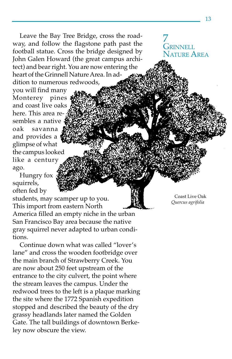Leave the Bay Tree Bridge, cross the roadway, and follow the flagstone path past the football statue. Cross the bridge designed by John Galen Howard (the great campus architect) and bear right. You are now entering the heart of the Grinnell Nature Area. In addition to numerous redwoods.

you will find many Monterey pines and coast live oaks here. This area resembles a native oak savanna and provides a glimpse of what the campus looked like a century ago.

Hungry fox squirrels, often fed by

students, may scamper up to you. This import from eastern North America filled an empty niche in the urban San Francisco Bay area because the native gray squirrel never adapted to urban conditions.

Continue down what was called "lover's lane" and cross the wooden footbridge over the main branch of Strawberry Creek. You are now about 250 feet upstream of the entrance to the city culvert, the point where the stream leaves the campus. Under the redwood trees to the left is a plaque marking the site where the 1772 Spanish expedition stopped and described the beauty of the dry grassy headlands later named the Golden Gate. The tall buildings of downtown Berkeley now obscure the view.

7 GRINNELL ATURE AREA

> Coast Live Oak *Quercus agrifolia*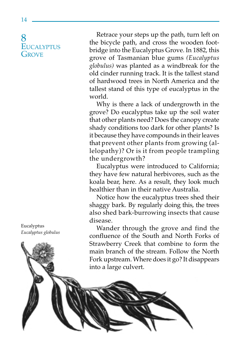8 **EUCALYPTUS GROVE** 

Eucalyptus *Eucalyptus globulus*

Retrace your steps up the path, turn left on the bicycle path, and cross the wooden footbridge into the Eucalyptus Grove. In 1882, this grove of Tasmanian blue gums *(Eucalyptus globulus)* was planted as a windbreak for the old cinder running track. It is the tallest stand of hardwood trees in North America and the tallest stand of this type of eucalyptus in the world.

Why is there a lack of undergrowth in the grove? Do eucalyptus take up the soil water that other plants need? Does the canopy create shady conditions too dark for other plants? Is it because they have compounds in their leaves that prevent other plants from growing (allelopathy)? Or is it from people trampling the undergrowth?

Eucalyptus were introduced to California; they have few natural herbivores, such as the koala bear, here. As a result, they look much healthier than in their native Australia.

Notice how the eucalyptus trees shed their shaggy bark. By regularly doing this, the trees also shed bark-burrowing insects that cause disease.

Wander through the grove and find the confluence of the South and North Forks of Strawberry Creek that combine to form the main branch of the stream. Follow the North Fork upstream. Where does it go? It disappears into a large culvert.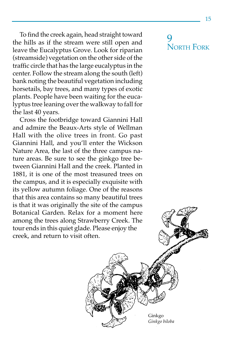To find the creek again, head straight toward the hills as if the stream were still open and leave the Eucalyptus Grove. Look for riparian (streamside) vegetation on the other side of the traffic circle that has the large eucalyptus in the center. Follow the stream along the south (left) bank noting the beautiful vegetation including horsetails, bay trees, and many types of exotic plants. People have been waiting for the eucalyptus tree leaning over the walkway to fall for the last 40 years.

Cross the footbridge toward Giannini Hall and admire the Beaux-Arts style of Wellman Hall with the olive trees in front. Go past Giannini Hall, and you'll enter the Wickson Nature Area, the last of the three campus nature areas. Be sure to see the ginkgo tree between Giannini Hall and the creek. Planted in 1881, it is one of the most treasured trees on the campus, and it is especially exquisite with its yellow autumn foliage. One of the reasons that this area contains so many beautiful trees is that it was originally the site of the campus Botanical Garden. Relax for a moment here among the trees along Strawberry Creek. The tour ends in this quiet glade. Please enjoy the creek, and return to visit often.

### 9<br>-NORTH FORK

Ginkgo *Ginkgo biloba* 15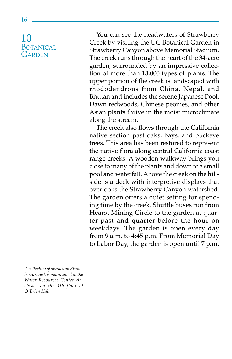#### 10 **BOTANICAL GARDEN**

You can see the headwaters of Strawberry Creek by visiting the UC Botanical Garden in Strawberry Canyon above Memorial Stadium. The creek runs through the heart of the 34-acre garden, surrounded by an impressive collection of more than 13,000 types of plants. The upper portion of the creek is landscaped with rhododendrons from China, Nepal, and Bhutan and includes the serene Japanese Pool. Dawn redwoods, Chinese peonies, and other Asian plants thrive in the moist microclimate along the stream.

The creek also flows through the California native section past oaks, bays, and buckeye trees. This area has been restored to represent the native flora along central California coast range creeks. A wooden walkway brings you close to many of the plants and down to a small pool and waterfall. Above the creek on the hillside is a deck with interpretive displays that overlooks the Strawberry Canyon watershed. The garden offers a quiet setting for spending time by the creek. Shuttle buses run from Hearst Mining Circle to the garden at quarter-past and quarter-before the hour on weekdays. The garden is open every day from 9 a.m. to 4:45 p.m. From Memorial Day to Labor Day, the garden is open until 7 p.m.

*A collection of studies on Strawberry Creek is maintained in the Water Resources Center Archives on the 4th floor of O'Brien Hall.*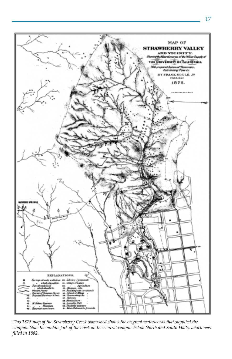

*This 1875 map of the Strawberry Creek watershed shows the original waterworks that supplied the campus. Note the middle fork of the creek on the central campus below North and South Halls, which was filled in 1882.*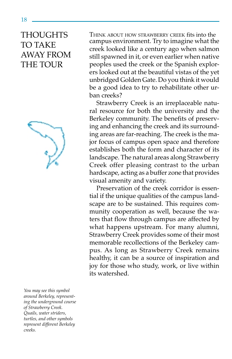## **THOUGHTS** TO TAKE AWAY FROM THE TOUR



*You may see this symbol around Berkeley, representing the underground course of Strawberry Creek. Quails, water striders, turtles, and other symbols represent different Berkeley creeks.*

campus environment. Try to imagine what the creek looked like a century ago when salmon still spawned in it, or even earlier when native peoples used the creek or the Spanish explorers looked out at the beautiful vistas of the yet unbridged Golden Gate. Do you think it would be a good idea to try to rehabilitate other urban creeks? THINK ABOUT HOW STRAWBERRY CREEK fits into the

Strawberry Creek is an irreplaceable natural resource for both the university and the Berkeley community. The benefits of preserving and enhancing the creek and its surrounding areas are far-reaching. The creek is the major focus of campus open space and therefore establishes both the form and character of its landscape. The natural areas along Strawberry Creek offer pleasing contrast to the urban hardscape, acting as a buffer zone that provides visual amenity and variety.

Preservation of the creek corridor is essential if the unique qualities of the campus landscape are to be sustained. This requires community cooperation as well, because the waters that flow through campus are affected by what happens upstream. For many alumni, Strawberry Creek provides some of their most memorable recollections of the Berkeley campus. As long as Strawberry Creek remains healthy, it can be a source of inspiration and joy for those who study, work, or live within its watershed.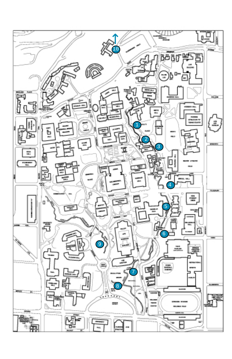